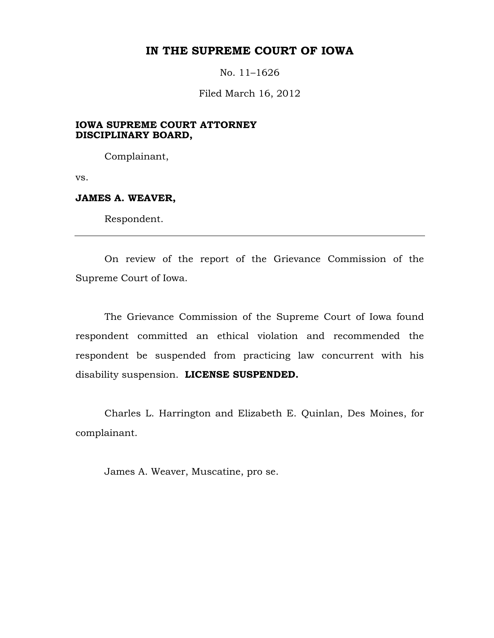# **IN THE SUPREME COURT OF IOWA**

No. 11–1626

Filed March 16, 2012

# **IOWA SUPREME COURT ATTORNEY DISCIPLINARY BOARD,**

Complainant,

vs.

#### **JAMES A. WEAVER,**

Respondent.

On review of the report of the Grievance Commission of the Supreme Court of Iowa.

The Grievance Commission of the Supreme Court of Iowa found respondent committed an ethical violation and recommended the respondent be suspended from practicing law concurrent with his disability suspension. **LICENSE SUSPENDED.**

Charles L. Harrington and Elizabeth E. Quinlan, Des Moines, for complainant.

<span id="page-0-0"></span>James A. Weaver, Muscatine, pro se.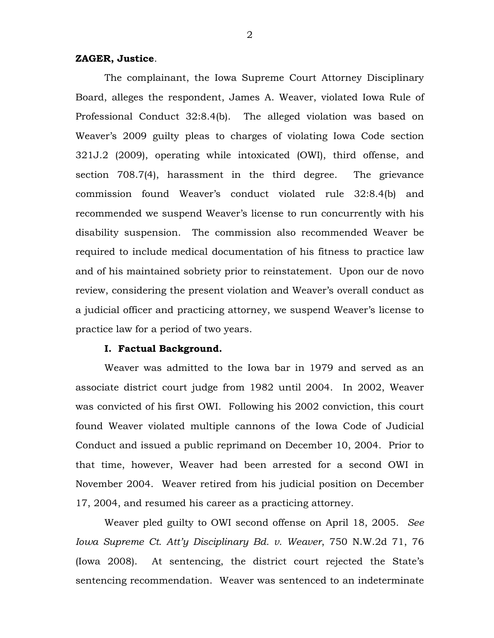## **ZAGER, Justice**.

The complainant, the Iowa Supreme Court Attorney Disciplinary Board, alleges the respondent, James A. Weaver, violated Iowa Rule of Professional Conduct 32:8.4(b). The alleged violation was based on Weaver's 2009 guilty pleas to charges of violating Iowa Code section 321J.2 (2009), operating while intoxicated (OWI), third offense, and section 708.7(4), harassment in the third degree. The grievance commission found Weaver's conduct violated rule 32:8.4(b) and recommended we suspend Weaver's license to run concurrently with his disability suspension. The commission also recommended Weaver be required to include medical documentation of his fitness to practice law and of his maintained sobriety prior to reinstatement. Upon our de novo review, considering the present violation and Weaver's overall conduct as a judicial officer and practicing attorney, we suspend Weaver's license to practice law for a period of two years.

## **I. Factual Background.**

Weaver was admitted to the Iowa bar in 1979 and served as an associate district court judge from 1982 until 2004. In 2002, Weaver was convicted of his first OWI. Following his 2002 conviction, this court found Weaver violated multiple cannons of the Iowa Code of Judicial Conduct and issued a public reprimand on December 10, 2004. Prior to that time, however, Weaver had been arrested for a second OWI in November 2004. Weaver retired from his judicial position on December 17, 2004, and resumed his career as a practicing attorney.

Weaver pled guilty to OWI second offense on April 18, 2005. *See Iowa Supreme Ct. Att'y Disciplinary Bd. v. Weaver*, 750 N.W.2d 71, 76 (Iowa 2008). At sentencing, the district court rejected the State's sentencing recommendation. Weaver was sentenced to an indeterminate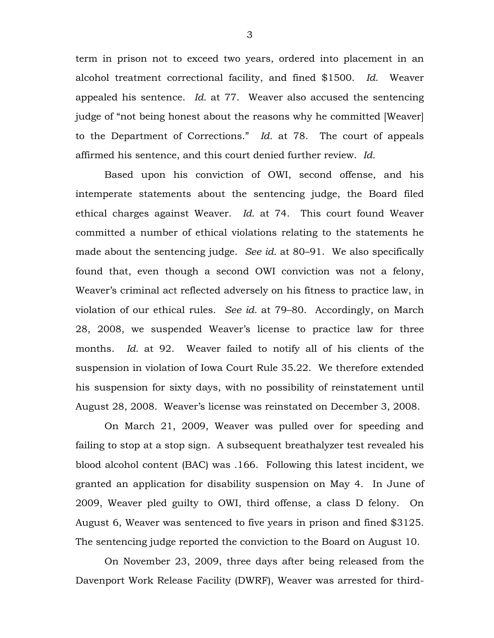term in prison not to exceed two years, ordered into placement in an alcohol treatment correctional facility, and fined \$1500. *Id.* Weaver appealed his sentence. *Id.* at 77. Weaver also accused the sentencing judge of "not being honest about the reasons why he committed [Weaver] to the Department of Corrections." *Id.* at 78. The court of appeals affirmed his sentence, and this court denied further review. *Id.*

Based upon his conviction of OWI, second offense, and his intemperate statements about the sentencing judge, the Board filed ethical charges against Weaver. *Id.* at 74. This court found Weaver committed a number of ethical violations relating to the statements he made about the sentencing judge. *See id.* at 80–91. We also specifically found that, even though a second OWI conviction was not a felony, Weaver's criminal act reflected adversely on his fitness to practice law, in violation of our ethical rules. *See id.* at 79–80. Accordingly, on March 28, 2008, we suspended Weaver's license to practice law for three months. *Id.* at 92. Weaver failed to notify all of his clients of the suspension in violation of Iowa Court Rule 35.22. We therefore extended his suspension for sixty days, with no possibility of reinstatement until August 28, 2008. Weaver's license was reinstated on December 3, 2008.

On March 21, 2009, Weaver was pulled over for speeding and failing to stop at a stop sign. A subsequent breathalyzer test revealed his blood alcohol content (BAC) was .166. Following this latest incident, we granted an application for disability suspension on May 4. In June of 2009, Weaver pled guilty to OWI, third offense, a class D felony. On August 6, Weaver was sentenced to five years in prison and fined \$3125. The sentencing judge reported the conviction to the Board on August 10.

On November 23, 2009, three days after being released from the Davenport Work Release Facility (DWRF), Weaver was arrested for third-

3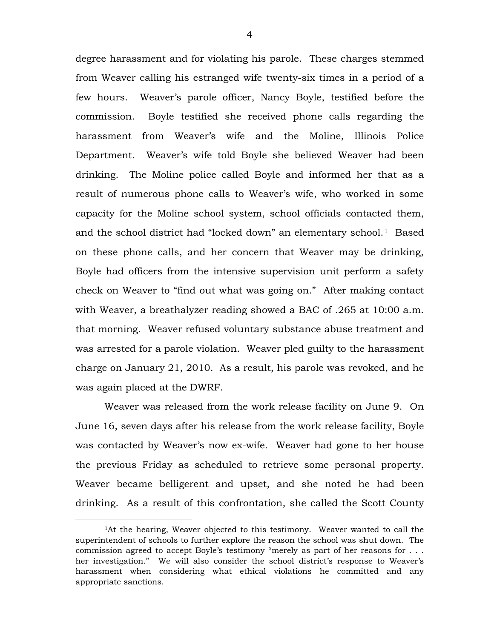degree harassment and for violating his parole. These charges stemmed from Weaver calling his estranged wife twenty-six times in a period of a few hours. Weaver's parole officer, Nancy Boyle, testified before the commission. Boyle testified she received phone calls regarding the harassment from Weaver's wife and the Moline, Illinois Police Department. Weaver's wife told Boyle she believed Weaver had been drinking. The Moline police called Boyle and informed her that as a result of numerous phone calls to Weaver's wife, who worked in some capacity for the Moline school system, school officials contacted them, and the school district had "locked down" an elementary school.<sup>[1](#page-0-0)</sup> Based on these phone calls, and her concern that Weaver may be drinking, Boyle had officers from the intensive supervision unit perform a safety check on Weaver to "find out what was going on." After making contact with Weaver, a breathalyzer reading showed a BAC of .265 at 10:00 a.m. that morning. Weaver refused voluntary substance abuse treatment and was arrested for a parole violation. Weaver pled guilty to the harassment charge on January 21, 2010. As a result, his parole was revoked, and he was again placed at the DWRF.

<span id="page-3-0"></span>Weaver was released from the work release facility on June 9. On June 16, seven days after his release from the work release facility, Boyle was contacted by Weaver's now ex-wife. Weaver had gone to her house the previous Friday as scheduled to retrieve some personal property. Weaver became belligerent and upset, and she noted he had been drinking. As a result of this confrontation, she called the Scott County

 $\overline{a}$ 

<sup>1</sup>At the hearing, Weaver objected to this testimony. Weaver wanted to call the superintendent of schools to further explore the reason the school was shut down. The commission agreed to accept Boyle's testimony "merely as part of her reasons for . . . her investigation." We will also consider the school district's response to Weaver's harassment when considering what ethical violations he committed and any appropriate sanctions.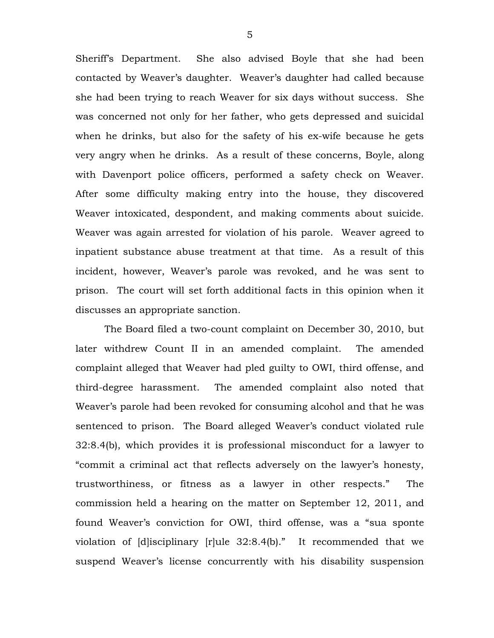Sheriff's Department. She also advised Boyle that she had been contacted by Weaver's daughter. Weaver's daughter had called because she had been trying to reach Weaver for six days without success. She was concerned not only for her father, who gets depressed and suicidal when he drinks, but also for the safety of his ex-wife because he gets very angry when he drinks. As a result of these concerns, Boyle, along with Davenport police officers, performed a safety check on Weaver. After some difficulty making entry into the house, they discovered Weaver intoxicated, despondent, and making comments about suicide. Weaver was again arrested for violation of his parole. Weaver agreed to inpatient substance abuse treatment at that time. As a result of this incident, however, Weaver's parole was revoked, and he was sent to prison. The court will set forth additional facts in this opinion when it discusses an appropriate sanction.

The Board filed a two-count complaint on December 30, 2010, but later withdrew Count II in an amended complaint. The amended complaint alleged that Weaver had pled guilty to OWI, third offense, and third-degree harassment. The amended complaint also noted that Weaver's parole had been revoked for consuming alcohol and that he was sentenced to prison. The Board alleged Weaver's conduct violated rule 32:8.4(b), which provides it is professional misconduct for a lawyer to "commit a criminal act that reflects adversely on the lawyer's honesty, trustworthiness, or fitness as a lawyer in other respects." The commission held a hearing on the matter on September 12, 2011, and found Weaver's conviction for OWI, third offense, was a "sua sponte violation of [d]isciplinary [r]ule 32:8.4(b)." It recommended that we suspend Weaver's license concurrently with his disability suspension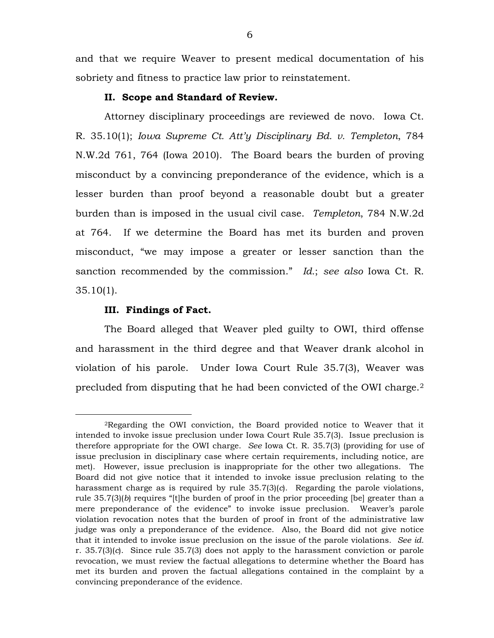and that we require Weaver to present medical documentation of his sobriety and fitness to practice law prior to reinstatement.

## **II. Scope and Standard of Review.**

Attorney disciplinary proceedings are reviewed de novo. Iowa Ct. R. 35.10(1); *Iowa Supreme Ct. Att'y Disciplinary Bd. v. Templeton*, 784 N.W.2d 761, 764 (Iowa 2010). The Board bears the burden of proving misconduct by a convincing preponderance of the evidence, which is a lesser burden than proof beyond a reasonable doubt but a greater burden than is imposed in the usual civil case. *Templeton*, 784 N.W.2d at 764. If we determine the Board has met its burden and proven misconduct, "we may impose a greater or lesser sanction than the sanction recommended by the commission." *Id.*; *see also* Iowa Ct. R. 35.10(1).

#### **III. Findings of Fact.**

 $\overline{a}$ 

The Board alleged that Weaver pled guilty to OWI, third offense and harassment in the third degree and that Weaver drank alcohol in violation of his parole. Under Iowa Court Rule 35.7(3), Weaver was precluded from disputing that he had been convicted of the OWI charge.[2](#page-3-0) 

<span id="page-5-0"></span><sup>2</sup>Regarding the OWI conviction, the Board provided notice to Weaver that it intended to invoke issue preclusion under Iowa Court Rule 35.7(3). Issue preclusion is therefore appropriate for the OWI charge. *See* Iowa Ct. R. 35.7(3) (providing for use of issue preclusion in disciplinary case where certain requirements, including notice, are met). However, issue preclusion is inappropriate for the other two allegations. The Board did not give notice that it intended to invoke issue preclusion relating to the harassment charge as is required by rule 35.7(3)(*c*). Regarding the parole violations, rule 35.7(3)(*b*) requires "[t]he burden of proof in the prior proceeding [be] greater than a mere preponderance of the evidence" to invoke issue preclusion. Weaver's parole violation revocation notes that the burden of proof in front of the administrative law judge was only a preponderance of the evidence. Also, the Board did not give notice that it intended to invoke issue preclusion on the issue of the parole violations. *See id.* r. 35.7(3)(*c*). Since rule 35.7(3) does not apply to the harassment conviction or parole revocation, we must review the factual allegations to determine whether the Board has met its burden and proven the factual allegations contained in the complaint by a convincing preponderance of the evidence.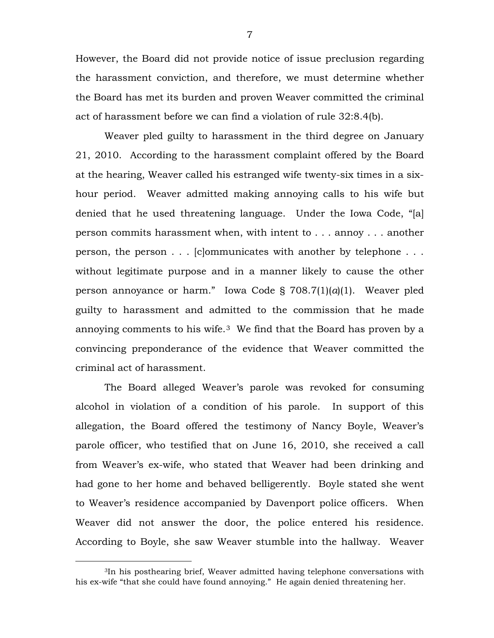However, the Board did not provide notice of issue preclusion regarding the harassment conviction, and therefore, we must determine whether the Board has met its burden and proven Weaver committed the criminal act of harassment before we can find a violation of rule 32:8.4(b).

Weaver pled guilty to harassment in the third degree on January 21, 2010. According to the harassment complaint offered by the Board at the hearing, Weaver called his estranged wife twenty-six times in a sixhour period. Weaver admitted making annoying calls to his wife but denied that he used threatening language. Under the Iowa Code, "[a] person commits harassment when, with intent to . . . annoy . . . another person, the person . . . [c]ommunicates with another by telephone . . . without legitimate purpose and in a manner likely to cause the other person annoyance or harm." Iowa Code § 708.7(1)(*a*)(1). Weaver pled guilty to harassment and admitted to the commission that he made annoving comments to his wife.<sup>[3](#page-5-0)</sup> We find that the Board has proven by a convincing preponderance of the evidence that Weaver committed the criminal act of harassment.

The Board alleged Weaver's parole was revoked for consuming alcohol in violation of a condition of his parole. In support of this allegation, the Board offered the testimony of Nancy Boyle, Weaver's parole officer, who testified that on June 16, 2010, she received a call from Weaver's ex-wife, who stated that Weaver had been drinking and had gone to her home and behaved belligerently. Boyle stated she went to Weaver's residence accompanied by Davenport police officers. When Weaver did not answer the door, the police entered his residence. According to Boyle, she saw Weaver stumble into the hallway. Weaver

<span id="page-6-0"></span> $\overline{a}$ 

<sup>3</sup>In his posthearing brief, Weaver admitted having telephone conversations with his ex-wife "that she could have found annoying." He again denied threatening her.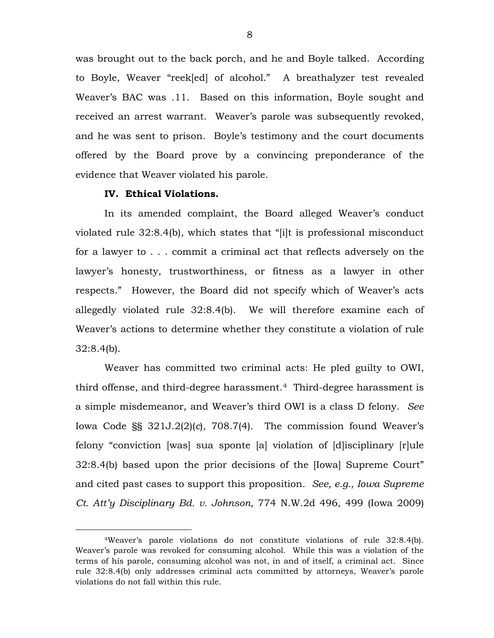was brought out to the back porch, and he and Boyle talked. According to Boyle, Weaver "reek[ed] of alcohol." A breathalyzer test revealed Weaver's BAC was .11. Based on this information, Boyle sought and received an arrest warrant. Weaver's parole was subsequently revoked, and he was sent to prison. Boyle's testimony and the court documents offered by the Board prove by a convincing preponderance of the evidence that Weaver violated his parole.

#### **IV. Ethical Violations.**

 $\overline{a}$ 

In its amended complaint, the Board alleged Weaver's conduct violated rule 32:8.4(b), which states that "[i]t is professional misconduct for a lawyer to . . . commit a criminal act that reflects adversely on the lawyer's honesty, trustworthiness, or fitness as a lawyer in other respects." However, the Board did not specify which of Weaver's acts allegedly violated rule 32:8.4(b). We will therefore examine each of Weaver's actions to determine whether they constitute a violation of rule 32:8.4(b).

Weaver has committed two criminal acts: He pled guilty to OWI, third offense, and third-degree harassment.[4](#page-6-0) Third-degree harassment is a simple misdemeanor, and Weaver's third OWI is a class D felony. *See* Iowa Code §§ 321J.2(2)(*c*), 708.7(4). The commission found Weaver's felony "conviction [was] sua sponte [a] violation of [d]isciplinary [r]ule 32:8.4(b) based upon the prior decisions of the [Iowa] Supreme Court" and cited past cases to support this proposition. *See, e.g.*, *Iowa Supreme Ct. Att'y Disciplinary Bd. v. Johnson*, 774 N.W.2d 496, 499 (Iowa 2009)

<span id="page-7-0"></span><sup>4</sup>Weaver's parole violations do not constitute violations of rule 32:8.4(b). Weaver's parole was revoked for consuming alcohol. While this was a violation of the terms of his parole, consuming alcohol was not, in and of itself, a criminal act. Since rule 32:8.4(b) only addresses criminal acts committed by attorneys, Weaver's parole violations do not fall within this rule.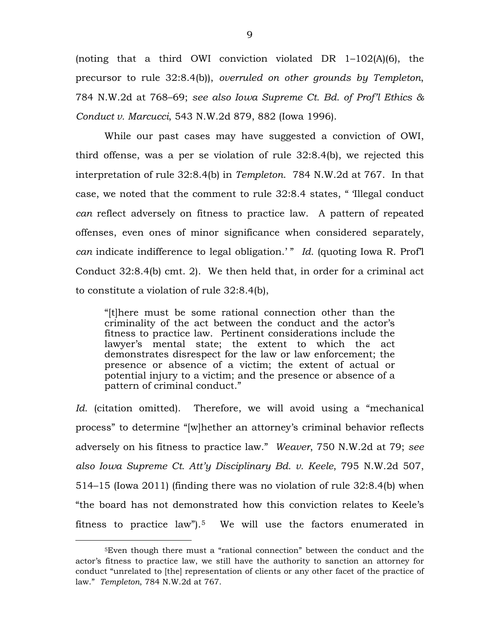(noting that a third OWI conviction violated DR 1–102(A)(6), the precursor to rule 32:8.4(b)), *overruled on other grounds by Templeton*, 784 N.W.2d at 768–69; *see also Iowa Supreme Ct. Bd. of Prof'l Ethics & Conduct v. Marcucci*, 543 N.W.2d 879, 882 (Iowa 1996).

While our past cases may have suggested a conviction of OWI, third offense, was a per se violation of rule 32:8.4(b), we rejected this interpretation of rule 32:8.4(b) in *Templeton*. 784 N.W.2d at 767. In that case, we noted that the comment to rule 32:8.4 states, " 'Illegal conduct *can* reflect adversely on fitness to practice law. A pattern of repeated offenses, even ones of minor significance when considered separately, *can* indicate indifference to legal obligation.' " *Id.* (quoting Iowa R. Prof'l Conduct 32:8.4(b) cmt. 2). We then held that, in order for a criminal act to constitute a violation of rule 32:8.4(b),

"[t]here must be some rational connection other than the criminality of the act between the conduct and the actor's fitness to practice law. Pertinent considerations include the lawyer's mental state; the extent to which the act demonstrates disrespect for the law or law enforcement; the presence or absence of a victim; the extent of actual or potential injury to a victim; and the presence or absence of a pattern of criminal conduct."

*Id.* (citation omitted). Therefore, we will avoid using a "mechanical process" to determine "[w]hether an attorney's criminal behavior reflects adversely on his fitness to practice law." *Weaver*, 750 N.W.2d at 79; *see also Iowa Supreme Ct. Att'y Disciplinary Bd. v. Keele*, 795 N.W.2d 507, 514–15 (Iowa 2011) (finding there was no violation of rule 32:8.4(b) when "the board has not demonstrated how this conviction relates to Keele's fitness to practice law").<sup>5</sup> We will use the factors enumerated in

 $\overline{a}$ 

<sup>5</sup>Even though there must a "rational connection" between the conduct and the actor's fitness to practice law, we still have the authority to sanction an attorney for conduct "unrelated to [the] representation of clients or any other facet of the practice of law." *Templeton*, 784 N.W.2d at 767.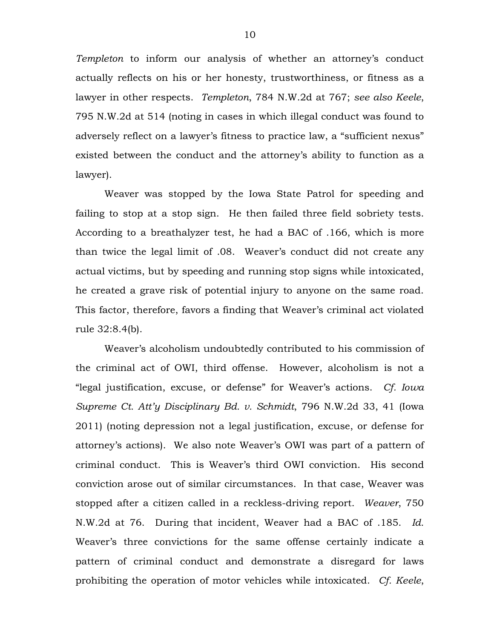*Templeton* to inform our analysis of whether an attorney's conduct actually reflects on his or her honesty, trustworthiness, or fitness as a lawyer in other respects. *Templeton*, 784 N.W.2d at 767; *see also Keele*, 795 N.W.2d at 514 (noting in cases in which illegal conduct was found to adversely reflect on a lawyer's fitness to practice law, a "sufficient nexus" existed between the conduct and the attorney's ability to function as a lawyer).

Weaver was stopped by the Iowa State Patrol for speeding and failing to stop at a stop sign. He then failed three field sobriety tests. According to a breathalyzer test, he had a BAC of .166, which is more than twice the legal limit of .08. Weaver's conduct did not create any actual victims, but by speeding and running stop signs while intoxicated, he created a grave risk of potential injury to anyone on the same road. This factor, therefore, favors a finding that Weaver's criminal act violated rule 32:8.4(b).

Weaver's alcoholism undoubtedly contributed to his commission of the criminal act of OWI, third offense. However, alcoholism is not a "legal justification, excuse, or defense" for Weaver's actions. *Cf. Iowa Supreme Ct. Att'y Disciplinary Bd. v. Schmidt*, 796 N.W.2d 33, 41 (Iowa 2011) (noting depression not a legal justification, excuse, or defense for attorney's actions). We also note Weaver's OWI was part of a pattern of criminal conduct. This is Weaver's third OWI conviction. His second conviction arose out of similar circumstances. In that case, Weaver was stopped after a citizen called in a reckless-driving report. *Weaver*, 750 N.W.2d at 76. During that incident, Weaver had a BAC of .185. *Id.*  Weaver's three convictions for the same offense certainly indicate a pattern of criminal conduct and demonstrate a disregard for laws prohibiting the operation of motor vehicles while intoxicated. *Cf. Keele*,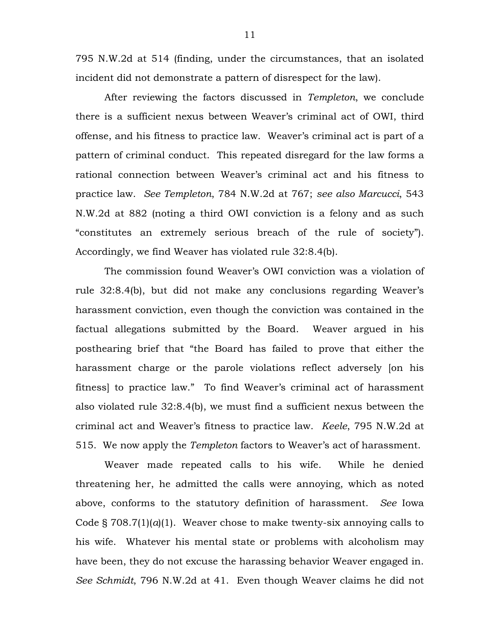795 N.W.2d at 514 (finding, under the circumstances, that an isolated incident did not demonstrate a pattern of disrespect for the law).

After reviewing the factors discussed in *Templeton*, we conclude there is a sufficient nexus between Weaver's criminal act of OWI, third offense, and his fitness to practice law. Weaver's criminal act is part of a pattern of criminal conduct. This repeated disregard for the law forms a rational connection between Weaver's criminal act and his fitness to practice law. *See Templeton*, 784 N.W.2d at 767; *see also Marcucci*, 543 N.W.2d at 882 (noting a third OWI conviction is a felony and as such "constitutes an extremely serious breach of the rule of society"). Accordingly, we find Weaver has violated rule 32:8.4(b).

The commission found Weaver's OWI conviction was a violation of rule 32:8.4(b), but did not make any conclusions regarding Weaver's harassment conviction, even though the conviction was contained in the factual allegations submitted by the Board. Weaver argued in his posthearing brief that "the Board has failed to prove that either the harassment charge or the parole violations reflect adversely [on his fitness] to practice law." To find Weaver's criminal act of harassment also violated rule 32:8.4(b), we must find a sufficient nexus between the criminal act and Weaver's fitness to practice law. *Keele*, 795 N.W.2d at 515. We now apply the *Templeton* factors to Weaver's act of harassment.

Weaver made repeated calls to his wife. While he denied threatening her, he admitted the calls were annoying, which as noted above, conforms to the statutory definition of harassment. *See* Iowa Code § 708.7(1)(*a*)(1). Weaver chose to make twenty-six annoying calls to his wife. Whatever his mental state or problems with alcoholism may have been, they do not excuse the harassing behavior Weaver engaged in. *See Schmidt*, 796 N.W.2d at 41. Even though Weaver claims he did not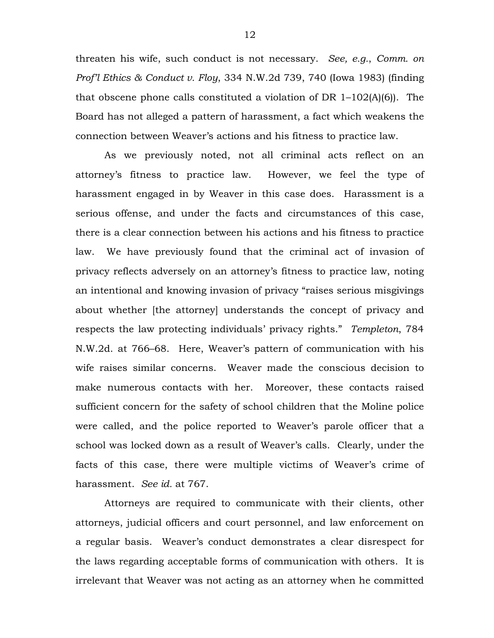threaten his wife, such conduct is not necessary. *See, e.g.*, *Comm. on Prof'l Ethics & Conduct v. Floy*, 334 N.W.2d 739, 740 (Iowa 1983) (finding that obscene phone calls constituted a violation of DR 1–102(A)(6)). The Board has not alleged a pattern of harassment, a fact which weakens the connection between Weaver's actions and his fitness to practice law.

As we previously noted, not all criminal acts reflect on an attorney's fitness to practice law. However, we feel the type of harassment engaged in by Weaver in this case does. Harassment is a serious offense, and under the facts and circumstances of this case, there is a clear connection between his actions and his fitness to practice law. We have previously found that the criminal act of invasion of privacy reflects adversely on an attorney's fitness to practice law, noting an intentional and knowing invasion of privacy "raises serious misgivings about whether [the attorney] understands the concept of privacy and respects the law protecting individuals' privacy rights." *Templeton*, 784 N.W.2d. at 766–68. Here, Weaver's pattern of communication with his wife raises similar concerns. Weaver made the conscious decision to make numerous contacts with her. Moreover, these contacts raised sufficient concern for the safety of school children that the Moline police were called, and the police reported to Weaver's parole officer that a school was locked down as a result of Weaver's calls. Clearly, under the facts of this case, there were multiple victims of Weaver's crime of harassment. *See id.* at 767.

Attorneys are required to communicate with their clients, other attorneys, judicial officers and court personnel, and law enforcement on a regular basis. Weaver's conduct demonstrates a clear disrespect for the laws regarding acceptable forms of communication with others. It is irrelevant that Weaver was not acting as an attorney when he committed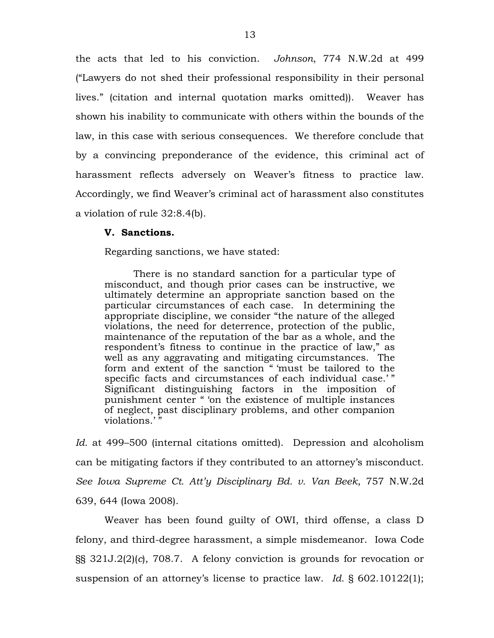the acts that led to his conviction. *Johnson*, 774 N.W.2d at 499 ("Lawyers do not shed their professional responsibility in their personal lives." (citation and internal quotation marks omitted)). Weaver has shown his inability to communicate with others within the bounds of the law, in this case with serious consequences. We therefore conclude that by a convincing preponderance of the evidence, this criminal act of harassment reflects adversely on Weaver's fitness to practice law. Accordingly, we find Weaver's criminal act of harassment also constitutes a violation of rule 32:8.4(b).

#### **V. Sanctions.**

Regarding sanctions, we have stated:

There is no standard sanction for a particular type of misconduct, and though prior cases can be instructive, we ultimately determine an appropriate sanction based on the particular circumstances of each case. In determining the appropriate discipline, we consider "the nature of the alleged violations, the need for deterrence, protection of the public, maintenance of the reputation of the bar as a whole, and the respondent's fitness to continue in the practice of law," as well as any aggravating and mitigating circumstances. The form and extent of the sanction " 'must be tailored to the specific facts and circumstances of each individual case.'" Significant distinguishing factors in the imposition of punishment center " 'on the existence of multiple instances of neglect, past disciplinary problems, and other companion violations.'"

*Id.* at 499–500 (internal citations omitted). Depression and alcoholism can be mitigating factors if they contributed to an attorney's misconduct. *See Iowa Supreme Ct. Att'y Disciplinary Bd. v. Van Beek*, 757 N.W.2d 639, 644 (Iowa 2008).

Weaver has been found guilty of OWI, third offense, a class D felony, and third-degree harassment, a simple misdemeanor. Iowa Code §§ 321J.2(2)(*c*), 708.7. A felony conviction is grounds for revocation or suspension of an attorney's license to practice law. *Id.* § 602.10122(1);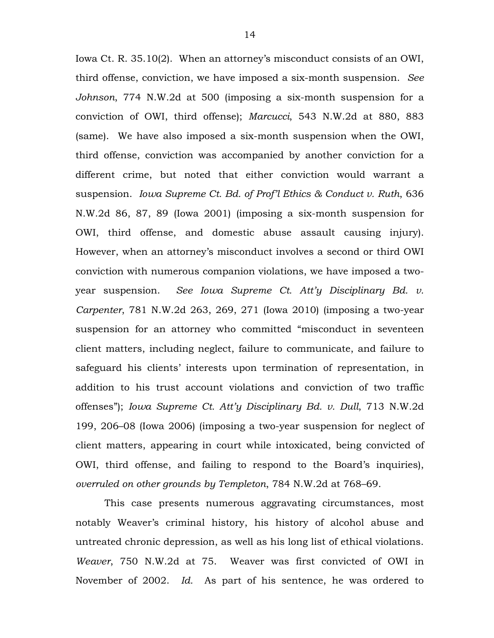Iowa Ct. R. 35.10(2). When an attorney's misconduct consists of an OWI, third offense, conviction, we have imposed a six-month suspension. *See Johnson*, 774 N.W.2d at 500 (imposing a six-month suspension for a conviction of OWI, third offense); *Marcucci*, 543 N.W.2d at 880, 883 (same). We have also imposed a six-month suspension when the OWI, third offense, conviction was accompanied by another conviction for a different crime, but noted that either conviction would warrant a suspension. *Iowa Supreme Ct. Bd. of Prof'l Ethics & Conduct v. Ruth*, 636 N.W.2d 86, 87, 89 (Iowa 2001) (imposing a six-month suspension for OWI, third offense, and domestic abuse assault causing injury). However, when an attorney's misconduct involves a second or third OWI conviction with numerous companion violations, we have imposed a twoyear suspension. *See Iowa Supreme Ct. Att'y Disciplinary Bd. v. Carpenter*, 781 N.W.2d 263, 269, 271 (Iowa 2010) (imposing a two-year suspension for an attorney who committed "misconduct in seventeen client matters, including neglect, failure to communicate, and failure to safeguard his clients' interests upon termination of representation, in addition to his trust account violations and conviction of two traffic offenses"); *Iowa Supreme Ct. Att'y Disciplinary Bd. v. Dull*, 713 N.W.2d 199, 206–08 (Iowa 2006) (imposing a two-year suspension for neglect of client matters, appearing in court while intoxicated, being convicted of OWI, third offense, and failing to respond to the Board's inquiries), *overruled on other grounds by Templeton*, 784 N.W.2d at 768–69.

This case presents numerous aggravating circumstances, most notably Weaver's criminal history, his history of alcohol abuse and untreated chronic depression, as well as his long list of ethical violations. *Weaver*, 750 N.W.2d at 75. Weaver was first convicted of OWI in November of 2002. *Id.* As part of his sentence, he was ordered to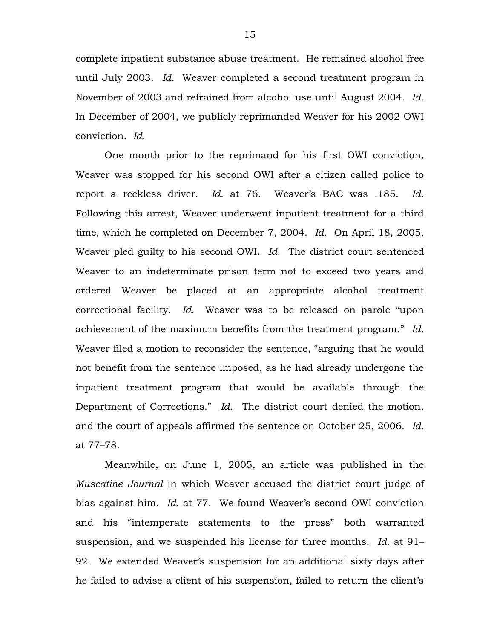complete inpatient substance abuse treatment. He remained alcohol free until July 2003. *Id.* Weaver completed a second treatment program in November of 2003 and refrained from alcohol use until August 2004. *Id.* In December of 2004, we publicly reprimanded Weaver for his 2002 OWI conviction. *Id.*

One month prior to the reprimand for his first OWI conviction, Weaver was stopped for his second OWI after a citizen called police to report a reckless driver. *Id.* at 76. Weaver's BAC was .185. *Id.* Following this arrest, Weaver underwent inpatient treatment for a third time, which he completed on December 7, 2004. *Id.* On April 18, 2005, Weaver pled guilty to his second OWI. *Id.* The district court sentenced Weaver to an indeterminate prison term not to exceed two years and ordered Weaver be placed at an appropriate alcohol treatment correctional facility. *Id.* Weaver was to be released on parole "upon achievement of the maximum benefits from the treatment program." *Id.* Weaver filed a motion to reconsider the sentence, "arguing that he would not benefit from the sentence imposed, as he had already undergone the inpatient treatment program that would be available through the Department of Corrections." *Id.* The district court denied the motion, and the court of appeals affirmed the sentence on October 25, 2006. *Id.* at 77–78.

Meanwhile, on June 1, 2005, an article was published in the *Muscatine Journal* in which Weaver accused the district court judge of bias against him. *Id.* at 77. We found Weaver's second OWI conviction and his "intemperate statements to the press" both warranted suspension, and we suspended his license for three months. *Id.* at 91– 92. We extended Weaver's suspension for an additional sixty days after he failed to advise a client of his suspension, failed to return the client's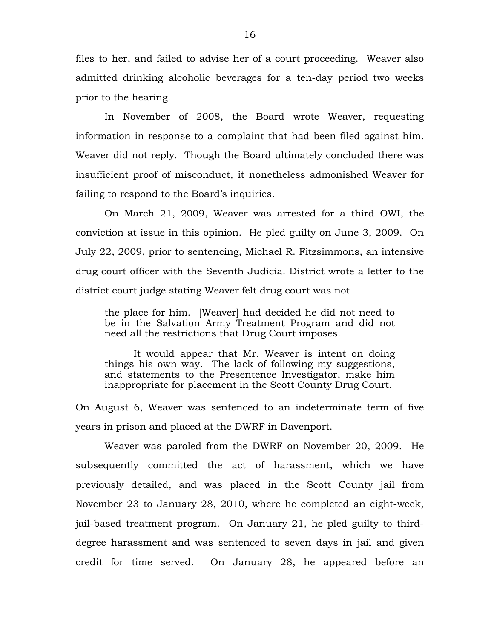files to her, and failed to advise her of a court proceeding. Weaver also admitted drinking alcoholic beverages for a ten-day period two weeks prior to the hearing.

In November of 2008, the Board wrote Weaver, requesting information in response to a complaint that had been filed against him. Weaver did not reply. Though the Board ultimately concluded there was insufficient proof of misconduct, it nonetheless admonished Weaver for failing to respond to the Board's inquiries.

On March 21, 2009, Weaver was arrested for a third OWI, the conviction at issue in this opinion. He pled guilty on June 3, 2009. On July 22, 2009, prior to sentencing, Michael R. Fitzsimmons, an intensive drug court officer with the Seventh Judicial District wrote a letter to the district court judge stating Weaver felt drug court was not

the place for him. [Weaver] had decided he did not need to be in the Salvation Army Treatment Program and did not need all the restrictions that Drug Court imposes.

It would appear that Mr. Weaver is intent on doing things his own way. The lack of following my suggestions, and statements to the Presentence Investigator, make him inappropriate for placement in the Scott County Drug Court.

On August 6, Weaver was sentenced to an indeterminate term of five years in prison and placed at the DWRF in Davenport.

Weaver was paroled from the DWRF on November 20, 2009. He subsequently committed the act of harassment, which we have previously detailed, and was placed in the Scott County jail from November 23 to January 28, 2010, where he completed an eight-week, jail-based treatment program. On January 21, he pled guilty to thirddegree harassment and was sentenced to seven days in jail and given credit for time served. On January 28, he appeared before an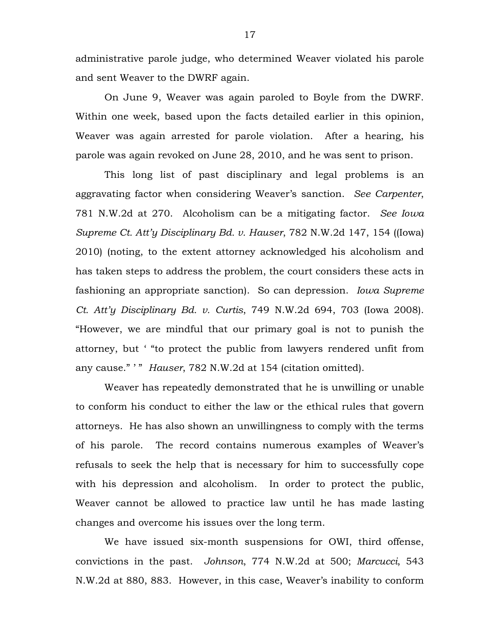administrative parole judge, who determined Weaver violated his parole and sent Weaver to the DWRF again.

On June 9, Weaver was again paroled to Boyle from the DWRF. Within one week, based upon the facts detailed earlier in this opinion, Weaver was again arrested for parole violation. After a hearing, his parole was again revoked on June 28, 2010, and he was sent to prison.

This long list of past disciplinary and legal problems is an aggravating factor when considering Weaver's sanction. *See Carpenter*, 781 N.W.2d at 270. Alcoholism can be a mitigating factor. *See Iowa Supreme Ct. Att'y Disciplinary Bd. v. Hauser*, 782 N.W.2d 147, 154 ((Iowa) 2010) (noting, to the extent attorney acknowledged his alcoholism and has taken steps to address the problem, the court considers these acts in fashioning an appropriate sanction). So can depression. *Iowa Supreme Ct. Att'y Disciplinary Bd. v. Curtis*, 749 N.W.2d 694, 703 (Iowa 2008). "However, we are mindful that our primary goal is not to punish the attorney, but ' "to protect the public from lawyers rendered unfit from any cause." ' " *Hauser*, 782 N.W.2d at 154 (citation omitted).

Weaver has repeatedly demonstrated that he is unwilling or unable to conform his conduct to either the law or the ethical rules that govern attorneys. He has also shown an unwillingness to comply with the terms of his parole. The record contains numerous examples of Weaver's refusals to seek the help that is necessary for him to successfully cope with his depression and alcoholism. In order to protect the public, Weaver cannot be allowed to practice law until he has made lasting changes and overcome his issues over the long term.

We have issued six-month suspensions for OWI, third offense, convictions in the past. *Johnson*, 774 N.W.2d at 500; *Marcucci*, 543 N.W.2d at 880, 883. However, in this case, Weaver's inability to conform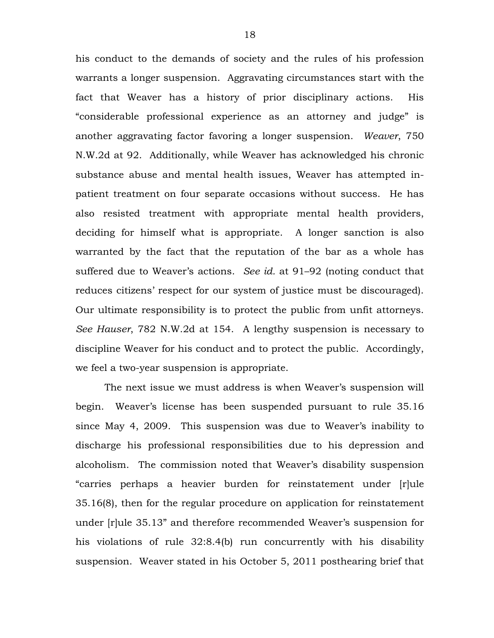his conduct to the demands of society and the rules of his profession warrants a longer suspension. Aggravating circumstances start with the fact that Weaver has a history of prior disciplinary actions. His "considerable professional experience as an attorney and judge" is another aggravating factor favoring a longer suspension. *Weaver*, 750 N.W.2d at 92. Additionally, while Weaver has acknowledged his chronic substance abuse and mental health issues, Weaver has attempted inpatient treatment on four separate occasions without success. He has also resisted treatment with appropriate mental health providers, deciding for himself what is appropriate. A longer sanction is also warranted by the fact that the reputation of the bar as a whole has suffered due to Weaver's actions. *See id.* at 91–92 (noting conduct that reduces citizens' respect for our system of justice must be discouraged). Our ultimate responsibility is to protect the public from unfit attorneys. *See Hauser*, 782 N.W.2d at 154. A lengthy suspension is necessary to discipline Weaver for his conduct and to protect the public. Accordingly, we feel a two-year suspension is appropriate.

The next issue we must address is when Weaver's suspension will begin. Weaver's license has been suspended pursuant to rule 35.16 since May 4, 2009. This suspension was due to Weaver's inability to discharge his professional responsibilities due to his depression and alcoholism. The commission noted that Weaver's disability suspension "carries perhaps a heavier burden for reinstatement under [r]ule 35.16(8), then for the regular procedure on application for reinstatement under [r]ule 35.13" and therefore recommended Weaver's suspension for his violations of rule 32:8.4(b) run concurrently with his disability suspension. Weaver stated in his October 5, 2011 posthearing brief that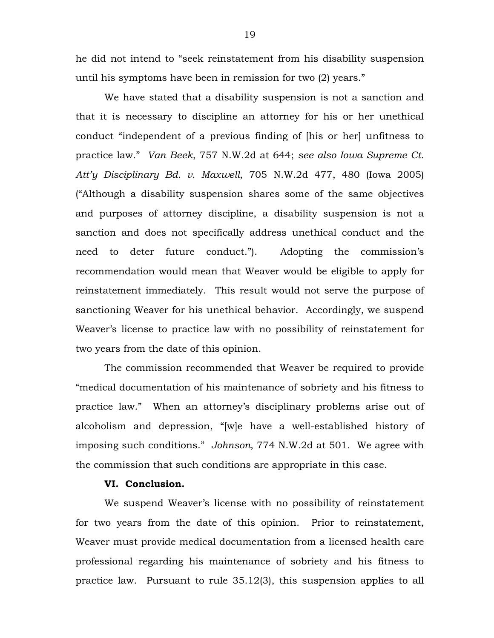he did not intend to "seek reinstatement from his disability suspension until his symptoms have been in remission for two (2) years."

We have stated that a disability suspension is not a sanction and that it is necessary to discipline an attorney for his or her unethical conduct "independent of a previous finding of [his or her] unfitness to practice law." *Van Beek*, 757 N.W.2d at 644; *see also Iowa Supreme Ct. Att'y Disciplinary Bd. v. Maxwell*, 705 N.W.2d 477, 480 (Iowa 2005) ("Although a disability suspension shares some of the same objectives and purposes of attorney discipline, a disability suspension is not a sanction and does not specifically address unethical conduct and the need to deter future conduct."). Adopting the commission's recommendation would mean that Weaver would be eligible to apply for reinstatement immediately. This result would not serve the purpose of sanctioning Weaver for his unethical behavior. Accordingly, we suspend Weaver's license to practice law with no possibility of reinstatement for two years from the date of this opinion.

The commission recommended that Weaver be required to provide "medical documentation of his maintenance of sobriety and his fitness to practice law." When an attorney's disciplinary problems arise out of alcoholism and depression, "[w]e have a well-established history of imposing such conditions." *Johnson*, 774 N.W.2d at 501. We agree with the commission that such conditions are appropriate in this case.

# **VI. Conclusion.**

We suspend Weaver's license with no possibility of reinstatement for two years from the date of this opinion. Prior to reinstatement, Weaver must provide medical documentation from a licensed health care professional regarding his maintenance of sobriety and his fitness to practice law. Pursuant to rule 35.12(3), this suspension applies to all